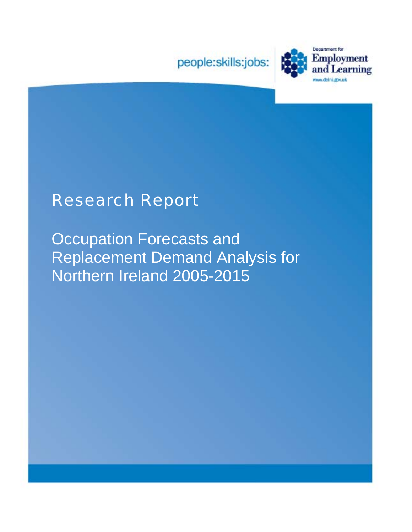



# Research Report

Occupation Forecasts and Replacement Demand Analysis for Northern Ireland 2005-2015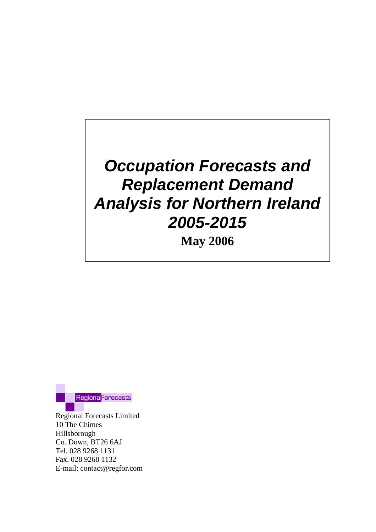# *Occupation Forecasts and Replacement Demand Analysis for Northern Ireland 2005-2015*

**May 2006** 



Regional Forecasts Limited 10 The Chimes Hillsborough Co. Down, BT26 6AJ Tel. 028 9268 1131 Fax. 028 9268 1132 E-mail: contact@regfor.com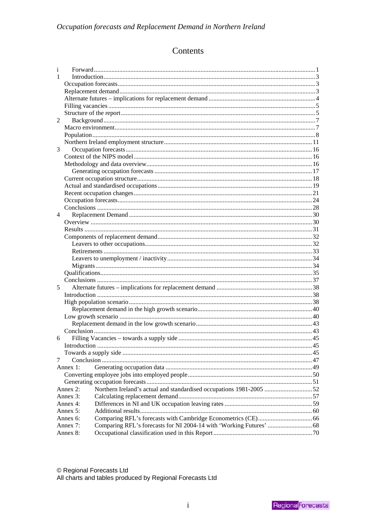### Contents

| i              |                                                                                 |  |  |  |  |  |
|----------------|---------------------------------------------------------------------------------|--|--|--|--|--|
| 1              |                                                                                 |  |  |  |  |  |
|                |                                                                                 |  |  |  |  |  |
|                |                                                                                 |  |  |  |  |  |
|                |                                                                                 |  |  |  |  |  |
|                |                                                                                 |  |  |  |  |  |
|                |                                                                                 |  |  |  |  |  |
| 2              |                                                                                 |  |  |  |  |  |
|                |                                                                                 |  |  |  |  |  |
|                |                                                                                 |  |  |  |  |  |
|                |                                                                                 |  |  |  |  |  |
| 3              |                                                                                 |  |  |  |  |  |
|                |                                                                                 |  |  |  |  |  |
|                |                                                                                 |  |  |  |  |  |
|                |                                                                                 |  |  |  |  |  |
|                |                                                                                 |  |  |  |  |  |
|                |                                                                                 |  |  |  |  |  |
|                |                                                                                 |  |  |  |  |  |
|                |                                                                                 |  |  |  |  |  |
|                |                                                                                 |  |  |  |  |  |
| $\overline{4}$ |                                                                                 |  |  |  |  |  |
|                |                                                                                 |  |  |  |  |  |
|                |                                                                                 |  |  |  |  |  |
|                |                                                                                 |  |  |  |  |  |
|                |                                                                                 |  |  |  |  |  |
|                |                                                                                 |  |  |  |  |  |
|                |                                                                                 |  |  |  |  |  |
|                |                                                                                 |  |  |  |  |  |
|                |                                                                                 |  |  |  |  |  |
|                |                                                                                 |  |  |  |  |  |
| 5              |                                                                                 |  |  |  |  |  |
|                |                                                                                 |  |  |  |  |  |
|                |                                                                                 |  |  |  |  |  |
|                |                                                                                 |  |  |  |  |  |
|                |                                                                                 |  |  |  |  |  |
|                |                                                                                 |  |  |  |  |  |
|                |                                                                                 |  |  |  |  |  |
| 6              |                                                                                 |  |  |  |  |  |
|                |                                                                                 |  |  |  |  |  |
|                |                                                                                 |  |  |  |  |  |
| 7              |                                                                                 |  |  |  |  |  |
|                | Annex 1:                                                                        |  |  |  |  |  |
|                |                                                                                 |  |  |  |  |  |
|                |                                                                                 |  |  |  |  |  |
|                | Northern Ireland's actual and standardised occupations 1981-2005 52<br>Annex 2: |  |  |  |  |  |
|                | Annex 3:                                                                        |  |  |  |  |  |
|                | Annex 4:                                                                        |  |  |  |  |  |
|                | Annex 5:                                                                        |  |  |  |  |  |
|                | Annex 6:                                                                        |  |  |  |  |  |
|                | Annex 7:                                                                        |  |  |  |  |  |
|                | Annex 8:                                                                        |  |  |  |  |  |

© Regional Forecasts Ltd<br>All charts and tables produced by Regional Forecasts Ltd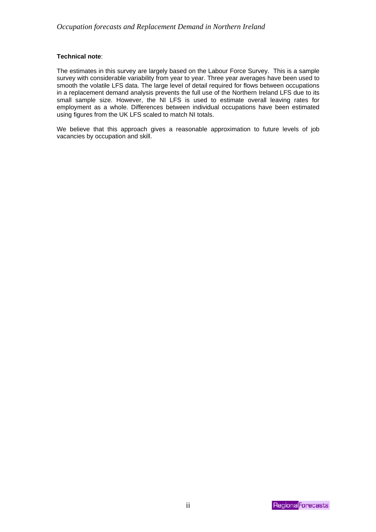#### **Technical note**:

The estimates in this survey are largely based on the Labour Force Survey. This is a sample survey with considerable variability from year to year. Three year averages have been used to smooth the volatile LFS data. The large level of detail required for flows between occupations in a replacement demand analysis prevents the full use of the Northern Ireland LFS due to its small sample size. However, the NI LFS is used to estimate overall leaving rates for employment as a whole. Differences between individual occupations have been estimated using figures from the UK LFS scaled to match NI totals.

We believe that this approach gives a reasonable approximation to future levels of job vacancies by occupation and skill.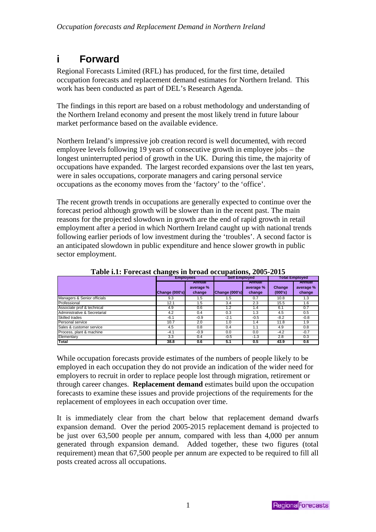# <span id="page-4-0"></span>**i Forward**

Regional Forecasts Limited (RFL) has produced, for the first time, detailed occupation forecasts and replacement demand estimates for Northern Ireland. This work has been conducted as part of DEL's Research Agenda.

The findings in this report are based on a robust methodology and understanding of the Northern Ireland economy and present the most likely trend in future labour market performance based on the available evidence.

Northern Ireland's impressive job creation record is well documented, with record employee levels following 19 years of consecutive growth in employee jobs – the longest uninterrupted period of growth in the UK. During this time, the majority of occupations have expanded. The largest recorded expansions over the last ten years, were in sales occupations, corporate managers and caring personal service occupations as the economy moves from the 'factory' to the 'office'.

The recent growth trends in occupations are generally expected to continue over the forecast period although growth will be slower than in the recent past. The main reasons for the projected slowdown in growth are the end of rapid growth in retail employment after a period in which Northern Ireland caught up with national trends following earlier periods of low investment during the 'troubles'. A second factor is an anticipated slowdown in public expenditure and hence slower growth in public sector employment.

| $\frac{1}{2}$                |                  |                               |                      |                               |                       |                               |  |
|------------------------------|------------------|-------------------------------|----------------------|-------------------------------|-----------------------|-------------------------------|--|
|                              | <b>Employees</b> |                               | <b>Self Employed</b> |                               | <b>Total Employed</b> |                               |  |
|                              | Change (000's)   | Annual<br>average %<br>change | Change (000's)       | Annual<br>average %<br>change | Change<br>(000's)     | Annual<br>average %<br>change |  |
| Managers & Senior officials  | 9.3              | 1.5                           | 1.5                  | 0.7                           | 10.8                  | 1.3                           |  |
| Professional                 | 12.1             | 1.5                           | 3.4                  | 2.3                           | 15.5                  | 1.6                           |  |
| Associate prof & technical   | 4.9              | 0.6                           | 1.2                  | 1.4                           | 6.1                   | 0.7                           |  |
| Administrative & Secretarial | 4.2              | 0.4                           | 0.3                  | 1.3                           | 4.5                   | 0.5                           |  |
| Skilled trades               | $-6.1$           | $-0.9$                        | $-2.1$               | $-0.5$                        | $-8.2$                | $-0.8$                        |  |
| Personal service             | 10.7             | 2.0                           | 1.0                  | 1.4                           | 11.8                  | 1.9                           |  |
| Sales & customer service     | 4.5              | 0.8                           | 0.4                  | 1.1                           | 4.9                   | 0.8                           |  |
| Process, plant & machine     | $-4.1$           | $-0.9$                        | 0.0                  | 0.0                           | $-4.2$                | $-0.7$                        |  |
| Elementary                   | 3.3              | 0.4                           | $-0.5$               | $-1.3$                        | 2.8                   | 0.3                           |  |
| Total                        | 38.8             | 0.6                           | 5.1                  | 0.5                           | 43.9                  | 0.6                           |  |

**Table i.1: Forecast changes in broad occupations, 2005-2015** 

While occupation forecasts provide estimates of the numbers of people likely to be employed in each occupation they do not provide an indication of the wider need for employers to recruit in order to replace people lost through migration, retirement or through career changes. **Replacement demand** estimates build upon the occupation forecasts to examine these issues and provide projections of the requirements for the replacement of employees in each occupation over time.

It is immediately clear from the chart below that replacement demand dwarfs expansion demand. Over the period 2005-2015 replacement demand is projected to be just over 63,500 people per annum, compared with less than 4,000 per annum generated through expansion demand. Added together, these two figures (total requirement) mean that 67,500 people per annum are expected to be required to fill all posts created across all occupations.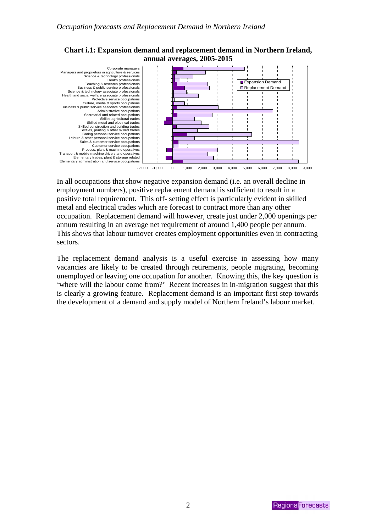



In all occupations that show negative expansion demand (i.e. an overall decline in employment numbers), positive replacement demand is sufficient to result in a positive total requirement. This off- setting effect is particularly evident in skilled metal and electrical trades which are forecast to contract more than any other occupation. Replacement demand will however, create just under 2,000 openings per annum resulting in an average net requirement of around 1,400 people per annum. This shows that labour turnover creates employment opportunities even in contracting sectors.

The replacement demand analysis is a useful exercise in assessing how many vacancies are likely to be created through retirements, people migrating, becoming unemployed or leaving one occupation for another. Knowing this, the key question is 'where will the labour come from?' Recent increases in in-migration suggest that this is clearly a growing feature. Replacement demand is an important first step towards the development of a demand and supply model of Northern Ireland's labour market.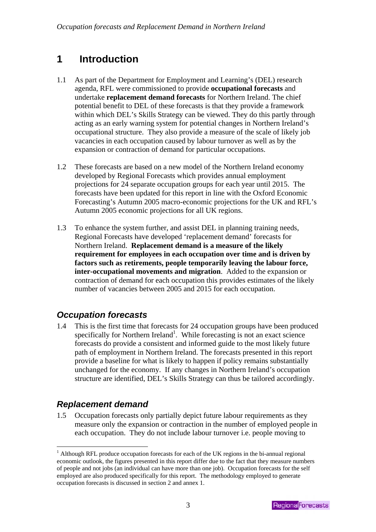# <span id="page-6-0"></span>**1 Introduction**

- 1.1 As part of the Department for Employment and Learning's (DEL) research agenda, RFL were commissioned to provide **occupational forecasts** and undertake **replacement demand forecasts** for Northern Ireland. The chief potential benefit to DEL of these forecasts is that they provide a framework within which DEL's Skills Strategy can be viewed. They do this partly through acting as an early warning system for potential changes in Northern Ireland's occupational structure. They also provide a measure of the scale of likely job vacancies in each occupation caused by labour turnover as well as by the expansion or contraction of demand for particular occupations.
- 1.2 These forecasts are based on a new model of the Northern Ireland economy developed by Regional Forecasts which provides annual employment projections for 24 separate occupation groups for each year until 2015. The forecasts have been updated for this report in line with the Oxford Economic Forecasting's Autumn 2005 macro-economic projections for the UK and RFL's Autumn 2005 economic projections for all UK regions.
- 1.3 To enhance the system further, and assist DEL in planning training needs, Regional Forecasts have developed 'replacement demand' forecasts for Northern Ireland. **Replacement demand is a measure of the likely requirement for employees in each occupation over time and is driven by factors such as retirements, people temporarily leaving the labour force, inter-occupational movements and migration**. Added to the expansion or contraction of demand for each occupation this provides estimates of the likely number of vacancies between 2005 and 2015 for each occupation.

## *Occupation forecasts*

1.4 This is the first time that forecasts for 24 occupation groups have been produced specifically for Northern Ireland<sup>[1](#page-6-1)</sup>. While forecasting is not an exact science forecasts do provide a consistent and informed guide to the most likely future path of employment in Northern Ireland. The forecasts presented in this report provide a baseline for what is likely to happen if policy remains substantially unchanged for the economy. If any changes in Northern Ireland's occupation structure are identified, DEL's Skills Strategy can thus be tailored accordingly.

## *Replacement demand*

 $\overline{a}$ 

1.5 Occupation forecasts only partially depict future labour requirements as they measure only the expansion or contraction in the number of employed people in each occupation. They do not include labour turnover i.e. people moving to

<span id="page-6-1"></span><sup>&</sup>lt;sup>1</sup> Although RFL produce occupation forecasts for each of the UK regions in the bi-annual regional economic outlook, the figures presented in this report differ due to the fact that they measure numbers of people and not jobs (an individual can have more than one job). Occupation forecasts for the self employed are also produced specifically for this report. The methodology employed to generate occupation forecasts is discussed in section 2 and annex 1.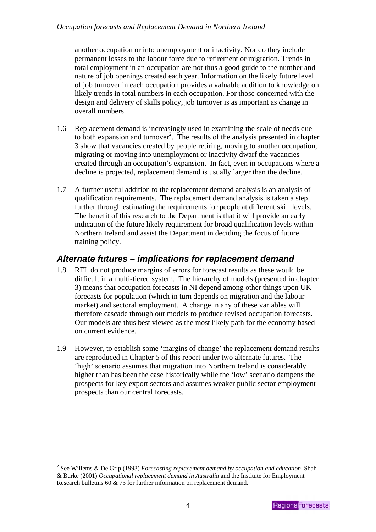<span id="page-7-0"></span>another occupation or into unemployment or inactivity. Nor do they include permanent losses to the labour force due to retirement or migration. Trends in total employment in an occupation are not thus a good guide to the number and nature of job openings created each year. Information on the likely future level of job turnover in each occupation provides a valuable addition to knowledge on likely trends in total numbers in each occupation. For those concerned with the design and delivery of skills policy, job turnover is as important as change in overall numbers.

- 1.6 Replacement demand is increasingly used in examining the scale of needs due to both expansion and turnover<sup>[2](#page-7-1)</sup>. The results of the analysis presented in chapter 3 show that vacancies created by people retiring, moving to another occupation, migrating or moving into unemployment or inactivity dwarf the vacancies created through an occupation's expansion. In fact, even in occupations where a decline is projected, replacement demand is usually larger than the decline.
- 1.7 A further useful addition to the replacement demand analysis is an analysis of qualification requirements. The replacement demand analysis is taken a step further through estimating the requirements for people at different skill levels. The benefit of this research to the Department is that it will provide an early indication of the future likely requirement for broad qualification levels within Northern Ireland and assist the Department in deciding the focus of future training policy.

### *Alternate futures – implications for replacement demand*

- 1.8 RFL do not produce margins of errors for forecast results as these would be difficult in a multi-tiered system. The hierarchy of models (presented in chapter 3) means that occupation forecasts in NI depend among other things upon UK forecasts for population (which in turn depends on migration and the labour market) and sectoral employment. A change in any of these variables will therefore cascade through our models to produce revised occupation forecasts. Our models are thus best viewed as the most likely path for the economy based on current evidence.
- 1.9 However, to establish some 'margins of change' the replacement demand results are reproduced in Chapter 5 of this report under two alternate futures. The 'high' scenario assumes that migration into Northern Ireland is considerably higher than has been the case historically while the 'low' scenario dampens the prospects for key export sectors and assumes weaker public sector employment prospects than our central forecasts.

 $\overline{a}$ 

<span id="page-7-1"></span><sup>2</sup> See Willems & De Grip (1993) *Forecasting replacement demand by occupation and education,* Shah & Burke (2001) *Occupational replacement demand in Australia* and the Institute for Employment Research bulletins 60 & 73 for further information on replacement demand.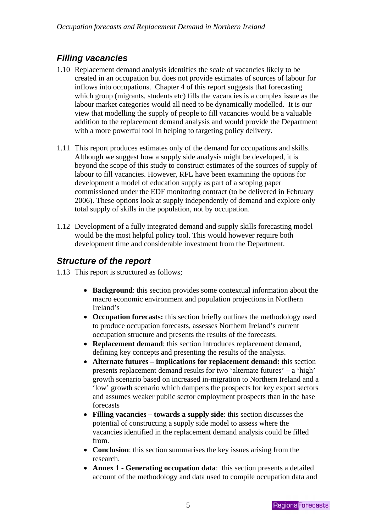# <span id="page-8-0"></span>*Filling vacancies*

- 1.10 Replacement demand analysis identifies the scale of vacancies likely to be created in an occupation but does not provide estimates of sources of labour for inflows into occupations. Chapter 4 of this report suggests that forecasting which group (migrants, students etc) fills the vacancies is a complex issue as the labour market categories would all need to be dynamically modelled. It is our view that modelling the supply of people to fill vacancies would be a valuable addition to the replacement demand analysis and would provide the Department with a more powerful tool in helping to targeting policy delivery.
- 1.11 This report produces estimates only of the demand for occupations and skills. Although we suggest how a supply side analysis might be developed, it is beyond the scope of this study to construct estimates of the sources of supply of labour to fill vacancies. However, RFL have been examining the options for development a model of education supply as part of a scoping paper commissioned under the EDF monitoring contract (to be delivered in February 2006). These options look at supply independently of demand and explore only total supply of skills in the population, not by occupation.
- 1.12 Development of a fully integrated demand and supply skills forecasting model would be the most helpful policy tool. This would however require both development time and considerable investment from the Department.

## *Structure of the report*

- 1.13 This report is structured as follows;
	- **Background**: this section provides some contextual information about the macro economic environment and population projections in Northern Ireland's
	- **Occupation forecasts:** this section briefly outlines the methodology used to produce occupation forecasts, assesses Northern Ireland's current occupation structure and presents the results of the forecasts.
	- **Replacement demand**: this section introduces replacement demand, defining key concepts and presenting the results of the analysis.
	- **Alternate futures implications for replacement demand:** this section presents replacement demand results for two 'alternate futures' – a 'high' growth scenario based on increased in-migration to Northern Ireland and a 'low' growth scenario which dampens the prospects for key export sectors and assumes weaker public sector employment prospects than in the base forecasts
	- **Filling vacancies towards a supply side**: this section discusses the potential of constructing a supply side model to assess where the vacancies identified in the replacement demand analysis could be filled from.
	- **Conclusion**: this section summarises the key issues arising from the research.
	- **Annex 1 Generating occupation data**: this section presents a detailed account of the methodology and data used to compile occupation data and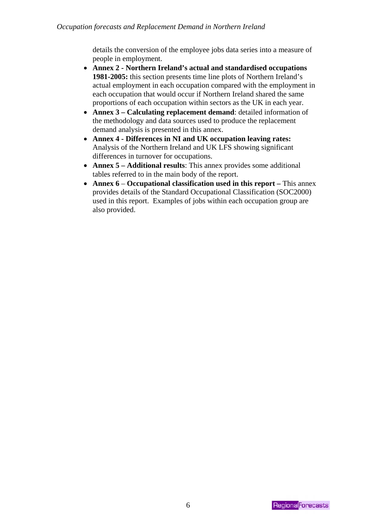details the conversion of the employee jobs data series into a measure of people in employment.

- **Annex 2 Northern Ireland's actual and standardised occupations 1981-2005:** this section presents time line plots of Northern Ireland's actual employment in each occupation compared with the employment in each occupation that would occur if Northern Ireland shared the same proportions of each occupation within sectors as the UK in each year.
- **Annex 3 Calculating replacement demand**: detailed information of the methodology and data sources used to produce the replacement demand analysis is presented in this annex.
- **Annex 4 Differences in NI and UK occupation leaving rates:** Analysis of the Northern Ireland and UK LFS showing significant differences in turnover for occupations.
- **Annex 5 Additional results**: This annex provides some additional tables referred to in the main body of the report.
- **Annex 6 Occupational classification used in this report This annex** provides details of the Standard Occupational Classification (SOC2000) used in this report. Examples of jobs within each occupation group are also provided.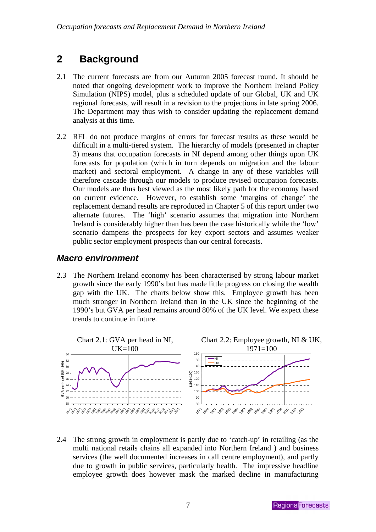# <span id="page-10-0"></span>**2 Background**

- 2.1 The current forecasts are from our Autumn 2005 forecast round. It should be noted that ongoing development work to improve the Northern Ireland Policy Simulation (NIPS) model, plus a scheduled update of our Global, UK and UK regional forecasts, will result in a revision to the projections in late spring 2006. The Department may thus wish to consider updating the replacement demand analysis at this time.
- 2.2 RFL do not produce margins of errors for forecast results as these would be difficult in a multi-tiered system. The hierarchy of models (presented in chapter 3) means that occupation forecasts in NI depend among other things upon UK forecasts for population (which in turn depends on migration and the labour market) and sectoral employment. A change in any of these variables will therefore cascade through our models to produce revised occupation forecasts. Our models are thus best viewed as the most likely path for the economy based on current evidence. However, to establish some 'margins of change' the replacement demand results are reproduced in Chapter 5 of this report under two alternate futures. The 'high' scenario assumes that migration into Northern Ireland is considerably higher than has been the case historically while the 'low' scenario dampens the prospects for key export sectors and assumes weaker public sector employment prospects than our central forecasts.

### *Macro environment*

2.3 The Northern Ireland economy has been characterised by strong labour market growth since the early 1990's but has made little progress on closing the wealth gap with the UK. The charts below show this. Employee growth has been much stronger in Northern Ireland than in the UK since the beginning of the 1990's but GVA per head remains around 80% of the UK level. We expect these trends to continue in future.



2.4 The strong growth in employment is partly due to 'catch-up' in retailing (as the multi national retails chains all expanded into Northern Ireland ) and business services (the well documented increases in call centre employment), and partly due to growth in public services, particularly health. The impressive headline employee growth does however mask the marked decline in manufacturing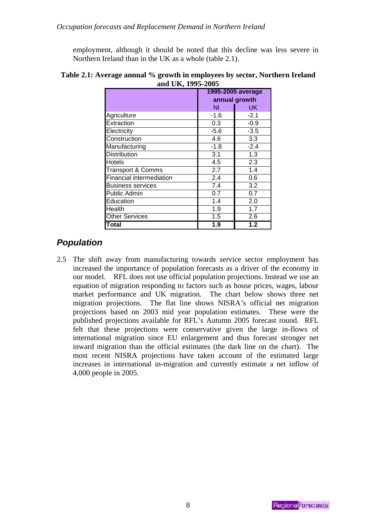<span id="page-11-0"></span>employment, although it should be noted that this decline was less severe in Northern Ireland than in the UK as a whole (table 2.1).

|                          | 1995-2005 average |                  |  |  |
|--------------------------|-------------------|------------------|--|--|
|                          | annual growth     |                  |  |  |
|                          | ΝI                | UK               |  |  |
| Agriculture              | $-1.6$            | $-2.1$           |  |  |
| Extraction               | 0.3               | $-0.9$           |  |  |
| Electricity              | $-5.6$            | $-3.5$           |  |  |
| Construction             | 4.6               | 3.3              |  |  |
| Manufacturing            | $-1.8$            | $-2.4$           |  |  |
| <b>Distribution</b>      | 3.1               | 1.3              |  |  |
| Hotels                   | 4.5               | 2.3              |  |  |
| Transport & Comms        | 2.7               | 1.4              |  |  |
| Financial intermediation | 2.4               | 0.6              |  |  |
| <b>Business services</b> | 7.4               | 3.2              |  |  |
| Public Admin             | 0.7               | 0.7              |  |  |
| Education                | 1.4               | 2.0              |  |  |
| Health                   | 1.9               | 1.7              |  |  |
| <b>Other Services</b>    | 1.5               | 2.6              |  |  |
| Total                    | 1.9               | $\overline{1.2}$ |  |  |

**Table 2.1: Average annual % growth in employees by sector, Northern Ireland and UK, 1995-2005** 

# *Population*

2.5 The shift away from manufacturing towards service sector employment has increased the importance of population forecasts as a driver of the economy in our model. RFL does not use official population projections. Instead we use an equation of migration responding to factors such as house prices, wages, labour market performance and UK migration. The chart below shows three net migration projections. The flat line shows NISRA's official net migration projections based on 2003 mid year population estimates. These were the published projections available for RFL's Autumn 2005 forecast round. RFL felt that these projections were conservative given the large in-flows of international migration since EU enlargement and thus forecast stronger net inward migration than the official estimates (the dark line on the chart). The most recent NISRA projections have taken account of the estimated large increases in international in-migration and currently estimate a net inflow of 4,000 people in 2005.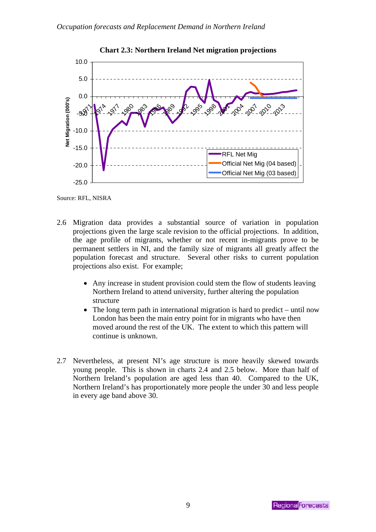

**Chart 2.3: Northern Ireland Net migration projections** 

Source: RFL, NISRA

- 2.6 Migration data provides a substantial source of variation in population projections given the large scale revision to the official projections. In addition, the age profile of migrants, whether or not recent in-migrants prove to be permanent settlers in NI, and the family size of migrants all greatly affect the population forecast and structure. Several other risks to current population projections also exist. For example;
	- Any increase in student provision could stem the flow of students leaving Northern Ireland to attend university, further altering the population structure
	- The long term path in international migration is hard to predict until now London has been the main entry point for in migrants who have then moved around the rest of the UK. The extent to which this pattern will continue is unknown.
- 2.7 Nevertheless, at present NI's age structure is more heavily skewed towards young people. This is shown in charts 2.4 and 2.5 below. More than half of Northern Ireland's population are aged less than 40. Compared to the UK, Northern Ireland's has proportionately more people the under 30 and less people in every age band above 30.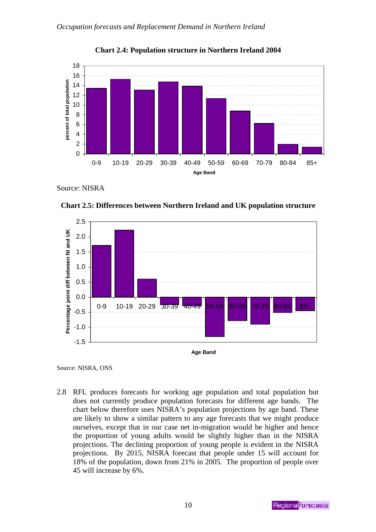

**Chart 2.4: Population structure in Northern Ireland 2004** 

Source: NISRA



**Chart 2.5: Differences between Northern Ireland and UK population structure** 

Source: NISRA, ONS

2.8 RFL produces forecasts for working age population and total population but does not currently produce population forecasts for different age bands. The chart below therefore uses NISRA's population projections by age band. These are likely to show a similar pattern to any age forecasts that we might produce ourselves, except that in our case net in-migration would be higher and hence the proportion of young adults would be slightly higher than in the NISRA projections. The declining proportion of young people is evident in the NISRA projections. By 2015, NISRA forecast that people under 15 will account for 18% of the population, down from 21% in 2005. The proportion of people over 45 will increase by 6%.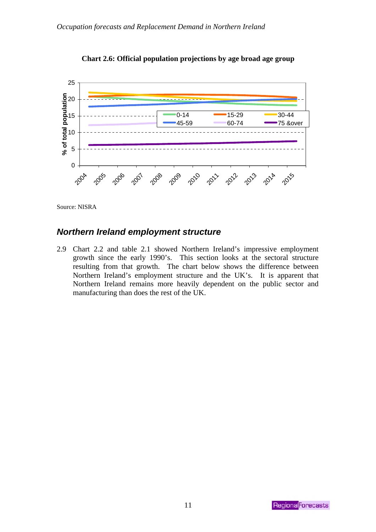<span id="page-14-0"></span>



Source: NISRA

### *Northern Ireland employment structure*

2.9 Chart 2.2 and table 2.1 showed Northern Ireland's impressive employment growth since the early 1990's. This section looks at the sectoral structure resulting from that growth. The chart below shows the difference between Northern Ireland's employment structure and the UK's. It is apparent that Northern Ireland remains more heavily dependent on the public sector and manufacturing than does the rest of the UK.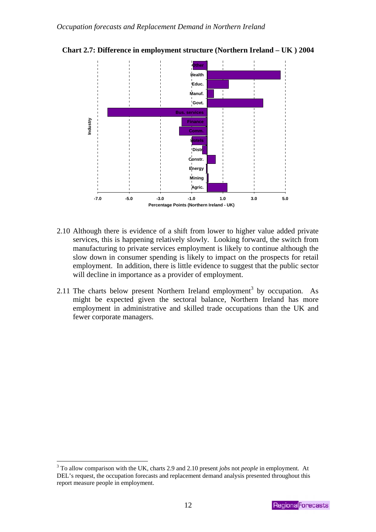

**Chart 2.7: Difference in employment structure (Northern Ireland – UK ) 2004** 

- 2.10 Although there is evidence of a shift from lower to higher value added private services, this is happening relatively slowly. Looking forward, the switch from manufacturing to private services employment is likely to continue although the slow down in consumer spending is likely to impact on the prospects for retail employment. In addition, there is little evidence to suggest that the public sector will decline in importance as a provider of employment.
- 2.11 The charts below present Northern Ireland employment<sup>3</sup> by occupation. As might be expected given the sectoral balance, North[ern](#page-15-0) Ireland has more employment in administrative and skilled trade occupations than the UK and fewer corporate managers.

<span id="page-15-0"></span> $\overline{a}$ 3 To allow comparison with the UK, charts 2.9 and 2.10 present *jobs* not *people* in employment. At DEL's request, the occupation forecasts and replacement demand analysis presented throughout this report measure people in employment.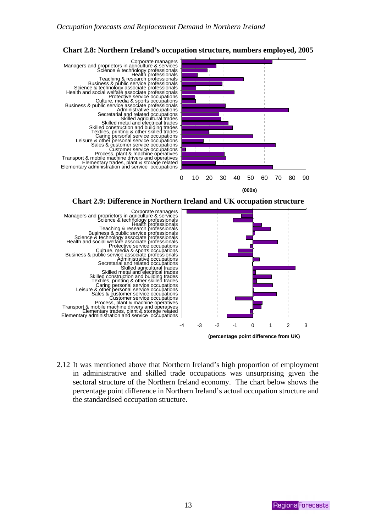

### **Chart 2.8: Northern Ireland's occupation structure, numbers employed, 2005**

**(000s)**





2.12 It was mentioned above that Northern Ireland's high proportion of employment in administrative and skilled trade occupations was unsurprising given the sectoral structure of the Northern Ireland economy. The chart below shows the percentage point difference in Northern Ireland's actual occupation structure and the standardised occupation structure.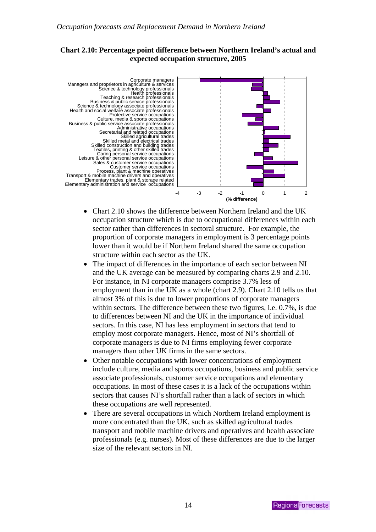### **Chart 2.10: Percentage point difference between Northern Ireland's actual and expected occupation structure, 2005**



- Chart 2.10 shows the difference between Northern Ireland and the UK occupation structure which is due to occupational differences within each sector rather than differences in sectoral structure. For example, the proportion of corporate managers in employment is 3 percentage points lower than it would be if Northern Ireland shared the same occupation structure within each sector as the UK.
- The impact of differences in the importance of each sector between NI and the UK average can be measured by comparing charts 2.9 and 2.10. For instance, in NI corporate managers comprise 3.7% less of employment than in the UK as a whole (chart 2.9). Chart 2.10 tells us that almost 3% of this is due to lower proportions of corporate managers within sectors. The difference between these two figures, i.e. 0.7%, is due to differences between NI and the UK in the importance of individual sectors. In this case, NI has less employment in sectors that tend to employ most corporate managers. Hence, most of NI's shortfall of corporate managers is due to NI firms employing fewer corporate managers than other UK firms in the same sectors.
- Other notable occupations with lower concentrations of employment include culture, media and sports occupations, business and public service associate professionals, customer service occupations and elementary occupations. In most of these cases it is a lack of the occupations within sectors that causes NI's shortfall rather than a lack of sectors in which these occupations are well represented.
- There are several occupations in which Northern Ireland employment is more concentrated than the UK, such as skilled agricultural trades transport and mobile machine drivers and operatives and health associate professionals (e.g. nurses). Most of these differences are due to the larger size of the relevant sectors in NI.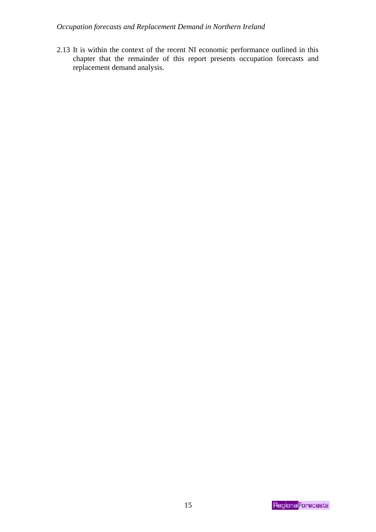### *Occupation forecasts and Replacement Demand in Northern Ireland*

2.13 It is within the context of the recent NI economic performance outlined in this chapter that the remainder of this report presents occupation forecasts and replacement demand analysis.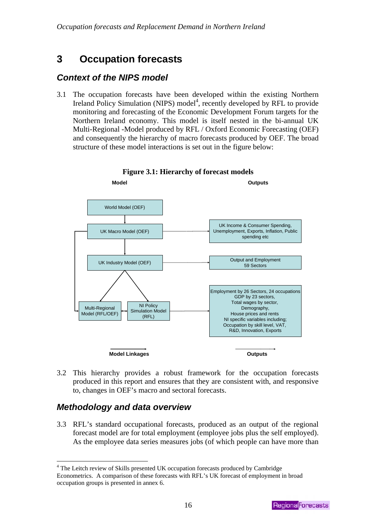# <span id="page-19-0"></span>**3 Occupation forecasts**

### *Context of the NIPS model*

3.1 The occupation forecasts have been developed within the existing Northern Ireland Policy Simulation (NIPS) model<sup>4</sup>, recently developed by RFL to provide monitoring and forecasting of the Econ[om](#page-19-1)ic Development Forum targets for the Northern Ireland economy. This model is itself nested in the bi-annual UK Multi-Regional -Model produced by RFL / Oxford Economic Forecasting (OEF) and consequently the hierarchy of macro forecasts produced by OEF. The broad structure of these model interactions is set out in the figure below:





3.2 This hierarchy provides a robust framework for the occupation forecasts produced in this report and ensures that they are consistent with, and responsive to, changes in OEF's macro and sectoral forecasts.

# *Methodology and data overview*

 $\overline{a}$ 

3.3 RFL's standard occupational forecasts, produced as an output of the regional forecast model are for total employment (employee jobs plus the self employed). As the employee data series measures jobs (of which people can have more than

<span id="page-19-1"></span><sup>&</sup>lt;sup>4</sup> The Leitch review of Skills presented UK occupation forecasts produced by Cambridge Econometrics. A comparison of these forecasts with RFL's UK forecast of employment in broad occupation groups is presented in annex 6.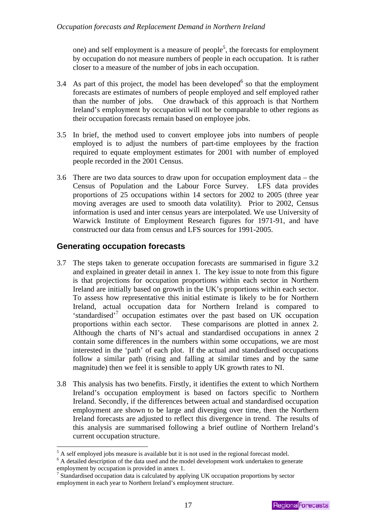<span id="page-20-0"></span>one) and self employment is a measure of people<sup>5</sup>, the forecasts for employment by occupation do not measure numbers of people [in](#page-20-1) each occupation. It is rather closer to a measure of the number of jobs in each occupation.

- 3.4 As part of this project, the model has been developed $<sup>6</sup>$  so that the employment</sup> forecasts are estimates of numbers of people employe[d a](#page-20-2)nd self employed rather than the number of jobs. One drawback of this approach is that Northern Ireland's employment by occupation will not be comparable to other regions as their occupation forecasts remain based on employee jobs.
- 3.5 In brief, the method used to convert employee jobs into numbers of people employed is to adjust the numbers of part-time employees by the fraction required to equate employment estimates for 2001 with number of employed people recorded in the 2001 Census.
- 3.6 There are two data sources to draw upon for occupation employment data the Census of Population and the Labour Force Survey. LFS data provides proportions of 25 occupations within 14 sectors for 2002 to 2005 (three year moving averages are used to smooth data volatility). Prior to 2002, Census information is used and inter census years are interpolated. We use University of Warwick Institute of Employment Research figures for 1971-91, and have constructed our data from census and LFS sources for 1991-2005.

### **Generating occupation forecasts**

 $\overline{a}$ 

- 3.7 The steps taken to generate occupation forecasts are summarised in figure 3.2 and explained in greater detail in annex 1. The key issue to note from this figure is that projections for occupation proportions within each sector in Northern Ireland are initially based on growth in the UK's proportions within each sector. To assess how representative this initial estimate is likely to be for Northern Ireland, actual occupation data for Northern Ireland is compared to 'standardised'<sup>7</sup> occupation estimates over the past based on UK occupation proportions [wit](#page-20-3)hin each sector. These comparisons are plotted in annex 2. Although the charts of NI's actual and standardised occupations in annex 2 contain some differences in the numbers within some occupations, we are most interested in the 'path' of each plot. If the actual and standardised occupations follow a similar path (rising and falling at similar times and by the same magnitude) then we feel it is sensible to apply UK growth rates to NI.
- 3.8 This analysis has two benefits. Firstly, it identifies the extent to which Northern Ireland's occupation employment is based on factors specific to Northern Ireland. Secondly, if the differences between actual and standardised occupation employment are shown to be large and diverging over time, then the Northern Ireland forecasts are adjusted to reflect this divergence in trend. The results of this analysis are summarised following a brief outline of Northern Ireland's current occupation structure.

<span id="page-20-1"></span> $^5$  A self employed jobs measure is available but it is not used in the regional forecast model.<br> $^6$  A detailed description of the data used and the model development work undertaken to see

<span id="page-20-2"></span> $6$  A detailed description of the data used and the model development work undertaken to generate employment by occupation is provided in annex 1.

<span id="page-20-3"></span> $\frac{7}{7}$  Standardised occupation data is calculated by applying UK occupation proportions by sector employment in each year to Northern Ireland's employment structure.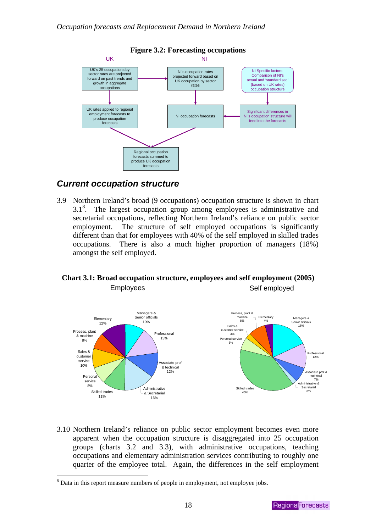<span id="page-21-0"></span>

#### **Figure 3.2: Forecasting occupations**

### *Current occupation structure*

3.9 Northern Ireland's broad (9 occupations) occupation structure is shown in chart 3.1<sup>8</sup>. The largest occupation group among employees is administrative and sec[re](#page-21-1)tarial occupations, reflecting Northern Ireland's reliance on public sector employment. The structure of self employed occupations is significantly different than that for employees with 40% of the self employed in skilled trades occupations. There is also a much higher proportion of managers (18%) amongst the self employed.

### **Chart 3.1: Broad occupation structure, employees and self employment (2005)**  Employees Self employed



3.10 Northern Ireland's reliance on public sector employment becomes even more apparent when the occupation structure is disaggregated into 25 occupation groups (charts 3.2 and 3.3), with administrative occupations, teaching occupations and elementary administration services contributing to roughly one quarter of the employee total. Again, the differences in the self employment

 $\overline{a}$ 

<span id="page-21-1"></span><sup>&</sup>lt;sup>8</sup> Data in this report measure numbers of people in employment, not employee jobs.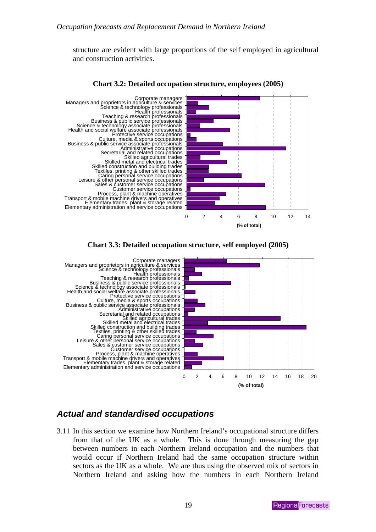<span id="page-22-0"></span>structure are evident with large proportions of the self employed in agricultural and construction activities.



#### **Chart 3.2: Detailed occupation structure, employees (2005)**





### *Actual and standardised occupations*

3.11 In this section we examine how Northern Ireland's occupational structure differs from that of the UK as a whole. This is done through measuring the gap between numbers in each Northern Ireland occupation and the numbers that would occur if Northern Ireland had the same occupation structure within sectors as the UK as a whole. We are thus using the observed mix of sectors in Northern Ireland and asking how the numbers in each Northern Ireland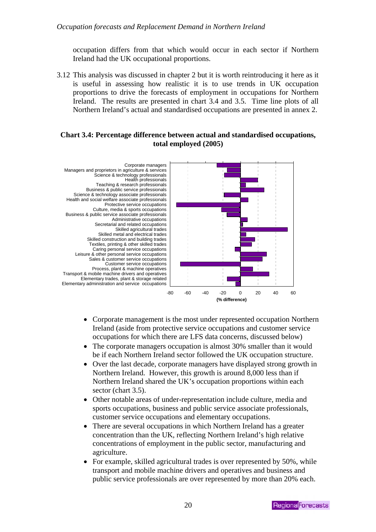occupation differs from that which would occur in each sector if Northern Ireland had the UK occupational proportions.

3.12 This analysis was discussed in chapter 2 but it is worth reintroducing it here as it is useful in assessing how realistic it is to use trends in UK occupation proportions to drive the forecasts of employment in occupations for Northern Ireland. The results are presented in chart 3.4 and 3.5. Time line plots of all Northern Ireland's actual and standardised occupations are presented in annex 2.

### **Chart 3.4: Percentage difference between actual and standardised occupations, total employed (2005)**



- Corporate management is the most under represented occupation Northern Ireland (aside from protective service occupations and customer service occupations for which there are LFS data concerns, discussed below)
- The corporate managers occupation is almost 30% smaller than it would be if each Northern Ireland sector followed the UK occupation structure.
- Over the last decade, corporate managers have displayed strong growth in Northern Ireland. However, this growth is around 8,000 less than if Northern Ireland shared the UK's occupation proportions within each sector (chart 3.5).
- Other notable areas of under-representation include culture, media and sports occupations, business and public service associate professionals, customer service occupations and elementary occupations.
- There are several occupations in which Northern Ireland has a greater concentration than the UK, reflecting Northern Ireland's high relative concentrations of employment in the public sector, manufacturing and agriculture.
- For example, skilled agricultural trades is over represented by 50%, while transport and mobile machine drivers and operatives and business and public service professionals are over represented by more than 20% each.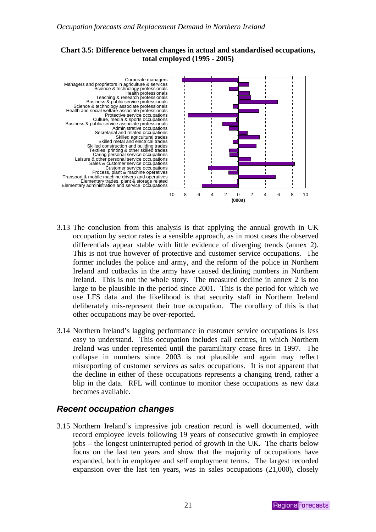### <span id="page-24-0"></span>**Chart 3.5: Difference between changes in actual and standardised occupations, total employed (1995 - 2005)**



- 3.13 The conclusion from this analysis is that applying the annual growth in UK occupation by sector rates is a sensible approach, as in most cases the observed differentials appear stable with little evidence of diverging trends (annex 2). This is not true however of protective and customer service occupations. The former includes the police and army, and the reform of the police in Northern Ireland and cutbacks in the army have caused declining numbers in Northern Ireland. This is not the whole story. The measured decline in annex 2 is too large to be plausible in the period since 2001. This is the period for which we use LFS data and the likelihood is that security staff in Northern Ireland deliberately mis-represent their true occupation. The corollary of this is that other occupations may be over-reported.
- 3.14 Northern Ireland's lagging performance in customer service occupations is less easy to understand. This occupation includes call centres, in which Northern Ireland was under-represented until the paramilitary cease fires in 1997. The collapse in numbers since 2003 is not plausible and again may reflect misreporting of customer services as sales occupations. It is not apparent that the decline in either of these occupations represents a changing trend, rather a blip in the data. RFL will continue to monitor these occupations as new data becomes available.

### *Recent occupation changes*

3.15 Northern Ireland's impressive job creation record is well documented, with record employee levels following 19 years of consecutive growth in employee jobs – the longest uninterrupted period of growth in the UK. The charts below focus on the last ten years and show that the majority of occupations have expanded, both in employee and self employment terms. The largest recorded expansion over the last ten years, was in sales occupations (21,000), closely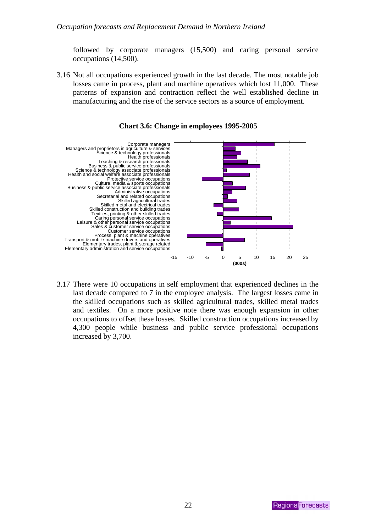followed by corporate managers (15,500) and caring personal service occupations (14,500).

3.16 Not all occupations experienced growth in the last decade. The most notable job losses came in process, plant and machine operatives which lost 11,000. These patterns of expansion and contraction reflect the well established decline in manufacturing and the rise of the service sectors as a source of employment.



**Chart 3.6: Change in employees 1995-2005** 

3.17 There were 10 occupations in self employment that experienced declines in the last decade compared to 7 in the employee analysis. The largest losses came in the skilled occupations such as skilled agricultural trades, skilled metal trades and textiles. On a more positive note there was enough expansion in other occupations to offset these losses. Skilled construction occupations increased by 4,300 people while business and public service professional occupations increased by 3,700.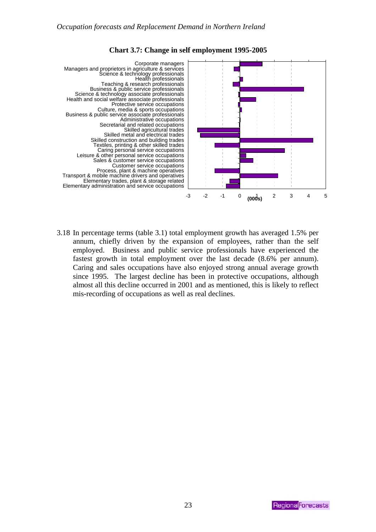

### **Chart 3.7: Change in self employment 1995-2005**

3.18 In percentage terms (table 3.1) total employment growth has averaged 1.5% per annum, chiefly driven by the expansion of employees, rather than the self employed. Business and public service professionals have experienced the fastest growth in total employment over the last decade (8.6% per annum). Caring and sales occupations have also enjoyed strong annual average growth since 1995. The largest decline has been in protective occupations, although almost all this decline occurred in 2001 and as mentioned, this is likely to reflect mis-recording of occupations as well as real declines.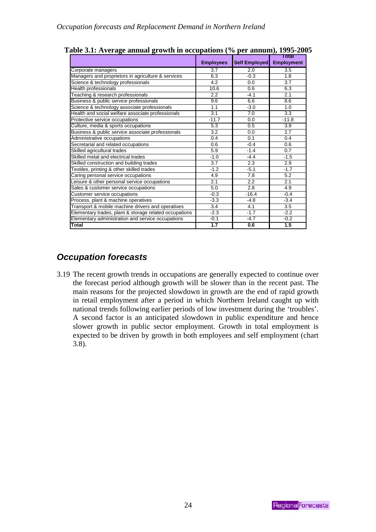|                                                        |                  |                      | Total             |  |
|--------------------------------------------------------|------------------|----------------------|-------------------|--|
|                                                        | <b>Employees</b> | <b>Self Employed</b> | <b>Employment</b> |  |
| Corporate managers                                     | $\overline{3.7}$ | 2.0                  | $\overline{3.5}$  |  |
| Managers and proprietors in agriculture & services     | 6.3              | $-0.3$               | 1.8               |  |
| Science & technology professionals                     | 4.2              | 0.0                  | 3.7               |  |
| Health professionals                                   | 10.6             | 0.6                  | 6.3               |  |
| Teaching & research professionals                      | 2.2              | $-4.1$               | 2.1               |  |
| Business & public service professionals                | 9.6              | 6.6                  | 8.6               |  |
| Science & technology associate professionals           | 1.1              | $-3.0$               | 1.0               |  |
| Health and social welfare associate professionals      | 3.1              | 7.0                  | 3.3               |  |
| Protective service occupations                         | $-11.7$          | 0.0                  | $-11.8$           |  |
| Culture, media & sports occupations                    | 5.3              | 0.5                  | 3.9               |  |
| Business & public service associate professionals      | 3.2              | 0.0                  | 2.7               |  |
| Administrative occupations                             | 0.4              | 0.1                  | 0.4               |  |
| Secretarial and related occupations                    | 0.6              | $-0.4$               | 0.6               |  |
| Skilled agricultural trades                            | 5.9              | $-1.4$               | 0.7               |  |
| Skilled metal and electrical trades                    | $-1.0$           | $-4.4$               | $-1.5$            |  |
| Skilled construction and building trades               | 3.7              | 2.3                  | 2.9               |  |
| Textiles, printing & other skilled trades              | $-1.2$           | $-5.1$               | $-1.7$            |  |
| Caring personal service occupations                    | 4.9              | 7.8                  | 5.2               |  |
| Leisure & other personal service occupations           | 2.1              | 2.2                  | 2.1               |  |
| Sales & customer service occupations                   | 5.0              | 2.8                  | 4.9               |  |
| Customer service occupations                           | $-0.3$           | $-16.4$              | $-0.4$            |  |
| Process, plant & machine operatives                    | $-3.3$           | $-4.8$               | $-3.4$            |  |
| Transport & mobile machine drivers and operatives      | 3.4              | 4.1                  | 3.5               |  |
| Elementary trades, plant & storage related occupations | $-2.3$           | $-1.7$               | $-2.2$            |  |
| Elementary administration and service occupations      | $-0.1$           | $-4.7$               | $-0.2$            |  |
| Total                                                  | 1.7              | 0.6                  | 1.5               |  |

<span id="page-27-0"></span>**Table 3.1: Average annual growth in occupations (% per annum), 1995-2005** 

# *Occupation forecasts*

3.19 The recent growth trends in occupations are generally expected to continue over the forecast period although growth will be slower than in the recent past. The main reasons for the projected slowdown in growth are the end of rapid growth in retail employment after a period in which Northern Ireland caught up with national trends following earlier periods of low investment during the 'troubles'. A second factor is an anticipated slowdown in public expenditure and hence slower growth in public sector employment. Growth in total employment is expected to be driven by growth in both employees and self employment (chart 3.8).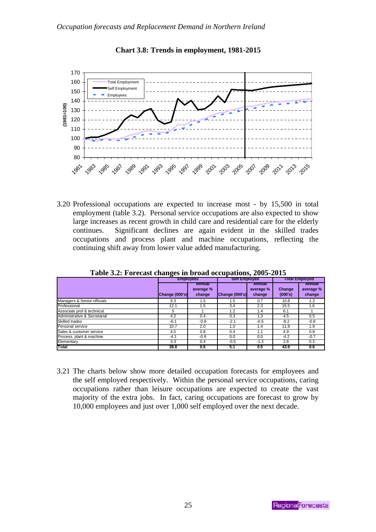

**Chart 3.8: Trends in employment, 1981-2015** 

3.20 Professional occupations are expected to increase most - by 15,500 in total employment (table 3.2). Personal service occupations are also expected to show large increases as recent growth in child care and residential care for the elderly continues. Significant declines are again evident in the skilled trades occupations and process plant and machine occupations, reflecting the continuing shift away from lower value added manufacturing.

| There can I of constraint consider the second occupations, $\blacksquare$ |                  |                               |                      |                               |                       |                               |  |
|---------------------------------------------------------------------------|------------------|-------------------------------|----------------------|-------------------------------|-----------------------|-------------------------------|--|
|                                                                           | <b>Employees</b> |                               | <b>Self Employed</b> |                               | <b>Total Employed</b> |                               |  |
|                                                                           | Change (000's)   | Annual<br>average %<br>change | Change (000's)       | Annual<br>average %<br>change | Change<br>(000's)     | Annual<br>average %<br>change |  |
| Managers & Senior officials                                               | 9.3              | 1.5                           | 1.5                  | 0.7                           | 10.8                  | 1.3                           |  |
| Professional                                                              | 12.1             | 1.5                           | 3.4                  | 2.3                           | 15.5                  | 1.6                           |  |
| Associate prof & technical                                                | 5                |                               | 1.2                  | 1.4                           | 6.1                   |                               |  |
| Administrative & Secretarial                                              | 4.2              | 0.4                           | 0.3                  | 1.3                           | 4.5                   | 0.5                           |  |
| <b>Skilled trades</b>                                                     | $-6.1$           | $-0.9$                        | $-2.1$               | $-0.5$                        | $-8.2$                | $-0.8$                        |  |
| Personal service                                                          | 10.7             | 2.0                           | 1.0                  | 1.4                           | 11.8                  | 1.9                           |  |
| Sales & customer service                                                  | 4.5              | 0.8                           | 0.4                  | 1.1                           | 4.9                   | 0.8                           |  |
| Process, plant & machine                                                  | $-4.1$           | $-0.9$                        | 0.0                  | 0.0                           | $-4.2$                | $-0.7$                        |  |
| Elementary                                                                | 3.3              | 0.4                           | $-0.5$               | $-1.3$                        | 2.8                   | 0.3                           |  |
| Total                                                                     | 38.8             | 0.6                           | 5.1                  | 0.5                           | 43.9                  | 0.6                           |  |

**Table 3.2: Forecast changes in broad occupations, 2005-2015** 

3.21 The charts below show more detailed occupation forecasts for employees and the self employed respectively. Within the personal service occupations, caring occupations rather than leisure occupations are expected to create the vast majority of the extra jobs. In fact, caring occupations are forecast to grow by 10,000 employees and just over 1,000 self employed over the next decade.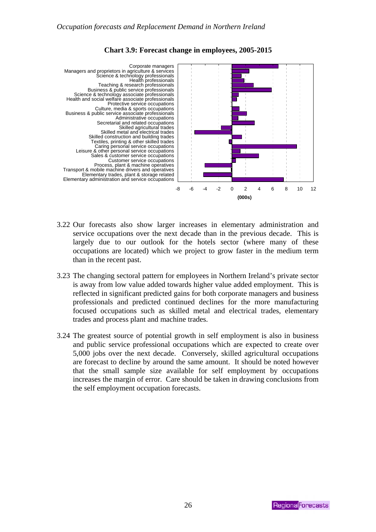

### **Chart 3.9: Forecast change in employees, 2005-2015**

- 3.22 Our forecasts also show larger increases in elementary administration and service occupations over the next decade than in the previous decade. This is largely due to our outlook for the hotels sector (where many of these occupations are located) which we project to grow faster in the medium term than in the recent past.
- 3.23 The changing sectoral pattern for employees in Northern Ireland's private sector is away from low value added towards higher value added employment. This is reflected in significant predicted gains for both corporate managers and business professionals and predicted continued declines for the more manufacturing focused occupations such as skilled metal and electrical trades, elementary trades and process plant and machine trades.
- 3.24 The greatest source of potential growth in self employment is also in business and public service professional occupations which are expected to create over 5,000 jobs over the next decade. Conversely, skilled agricultural occupations are forecast to decline by around the same amount. It should be noted however that the small sample size available for self employment by occupations increases the margin of error. Care should be taken in drawing conclusions from the self employment occupation forecasts.